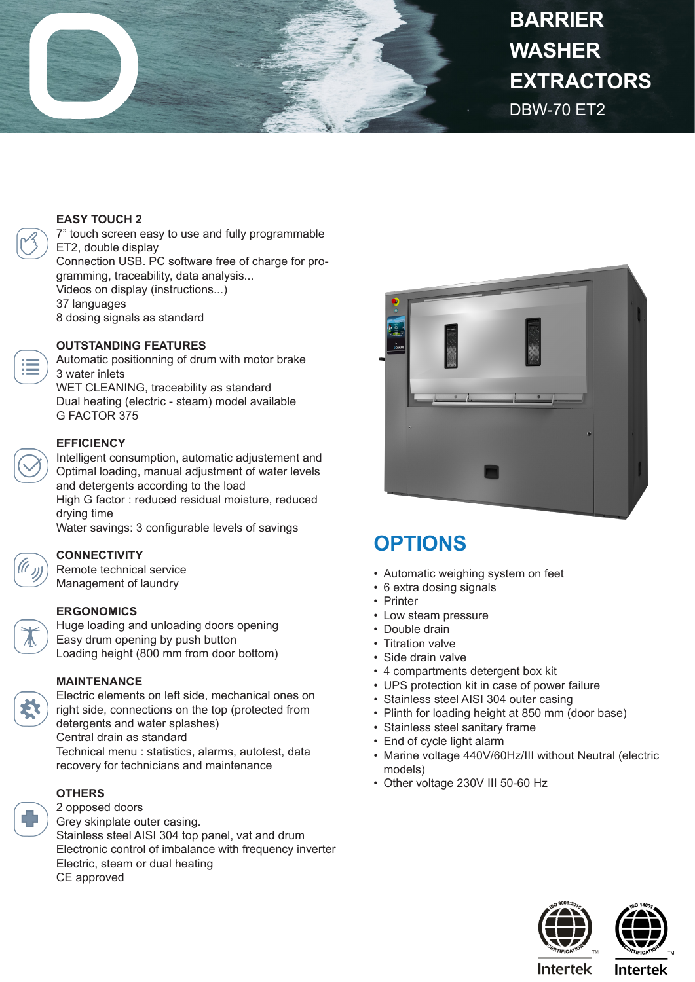

# DBW-70 ET2 **BARRIER WASHER EXTRACTORS**

## **EASY TOUCH 2**

7" touch screen easy to use and fully programmable ET2, double display Connection USB. PC software free of charge for programming, traceability, data analysis... Videos on display (instructions...) 37 languages 8 dosing signals as standard

## **OUTSTANDING FEATURES**

Automatic positionning of drum with motor brake 3 water inlets WET CLEANING, traceability as standard Dual heating (electric - steam) model available G FACTOR 375

## **EFFICIENCY**

Intelligent consumption, automatic adjustement and Optimal loading, manual adjustment of water levels and detergents according to the load High G factor : reduced residual moisture, reduced drying time

Water savings: 3 configurable levels of savings

# **CONNECTIVITY**

Remote technical service Management of laundry

#### **ERGONOMICS**

Huge loading and unloading doors opening Easy drum opening by push button Loading height (800 mm from door bottom)

#### **MAINTENANCE**

Electric elements on left side, mechanical ones on right side, connections on the top (protected from detergents and water splashes) Central drain as standard Technical menu : statistics, alarms, autotest, data recovery for technicians and maintenance

#### **OTHERS**

2 opposed doors Grey skinplate outer casing. Stainless steel AISI 304 top panel, vat and drum Electronic control of imbalance with frequency inverter Electric, steam or dual heating CE approved



# **OPTIONS**

- Automatic weighing system on feet
- 6 extra dosing signals
- Printer
- Low steam pressure
- Double drain
- Titration valve
- Side drain valve
- 4 compartments detergent box kit
- UPS protection kit in case of power failure
- Stainless steel AISI 304 outer casing
- Plinth for loading height at 850 mm (door base)
- Stainless steel sanitary frame
- End of cycle light alarm
- Marine voltage 440V/60Hz/III without Neutral (electric models)
- Other voltage 230V III 50-60 Hz





**Intertek** 

**Intertek**